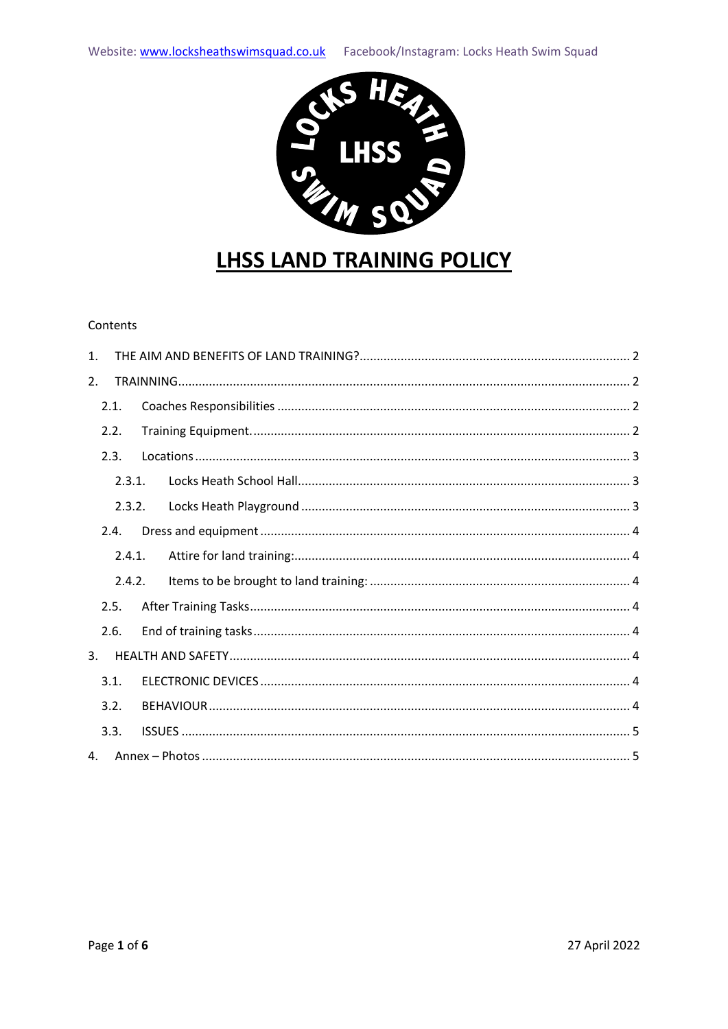

# **LHSS LAND TRAINING POLICY**

#### Contents

| $\mathbf{1}$ . |        |  |  |
|----------------|--------|--|--|
| 2.             |        |  |  |
|                | 2.1.   |  |  |
|                | 2.2.   |  |  |
|                | 2.3.   |  |  |
|                | 2.3.1. |  |  |
|                | 2.3.2. |  |  |
|                | 2.4.   |  |  |
|                | 2.4.1. |  |  |
|                | 2.4.2. |  |  |
|                | 2.5.   |  |  |
|                | 2.6.   |  |  |
| 3.             |        |  |  |
|                | 3.1.   |  |  |
|                | 3.2.   |  |  |
|                | 3.3.   |  |  |
| 4.             |        |  |  |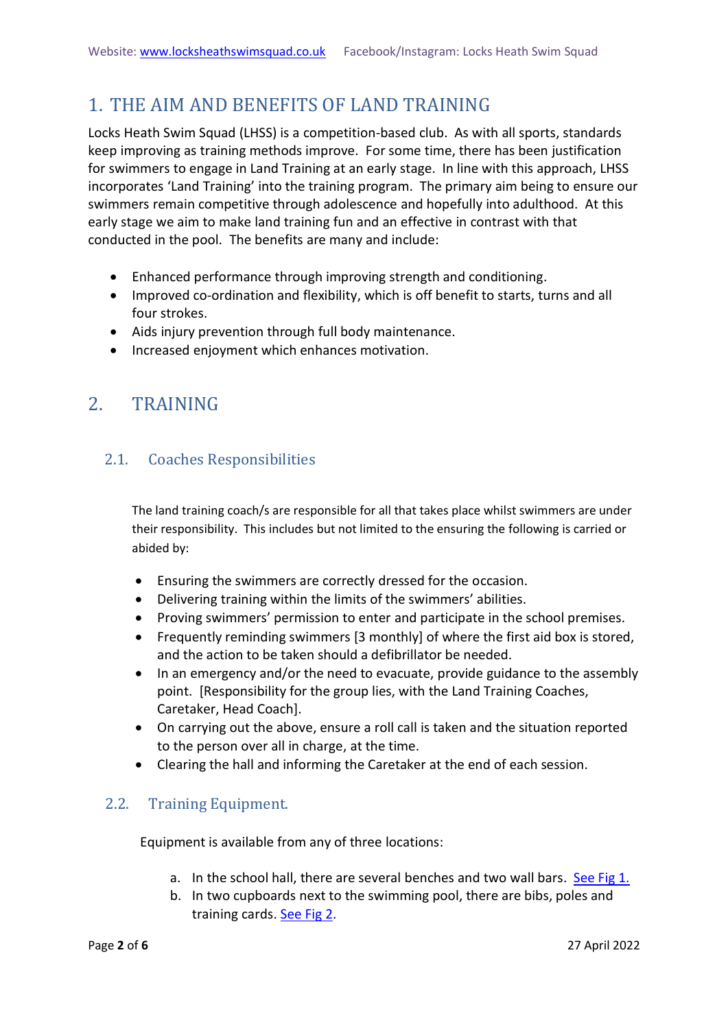## <span id="page-1-0"></span>1. THE AIM AND BENEFITS OF LAND TRAINING

Locks Heath Swim Squad (LHSS) is a competition-based club. As with all sports, standards keep improving as training methods improve. For some time, there has been justification for swimmers to engage in Land Training at an early stage. In line with this approach, LHSS incorporates 'Land Training' into the training program. The primary aim being to ensure our swimmers remain competitive through adolescence and hopefully into adulthood. At this early stage we aim to make land training fun and an effective in contrast with that conducted in the pool. The benefits are many and include:

- Enhanced performance through improving strength and conditioning.
- Improved co-ordination and flexibility, which is off benefit to starts, turns and all four strokes.
- Aids injury prevention through full body maintenance.
- Increased enjoyment which enhances motivation.

## <span id="page-1-1"></span>2. TRAINING

### <span id="page-1-2"></span>2.1. Coaches Responsibilities

The land training coach/s are responsible for all that takes place whilst swimmers are under their responsibility. This includes but not limited to the ensuring the following is carried or abided by:

- Ensuring the swimmers are correctly dressed for the occasion.
- Delivering training within the limits of the swimmers' abilities.
- Proving swimmers' permission to enter and participate in the school premises.
- Frequently reminding swimmers [3 monthly] of where the first aid box is stored, and the action to be taken should a defibrillator be needed.
- In an emergency and/or the need to evacuate, provide guidance to the assembly point. [Responsibility for the group lies, with the Land Training Coaches, Caretaker, Head Coach].
- On carrying out the above, ensure a roll call is taken and the situation reported to the person over all in charge, at the time.
- Clearing the hall and informing the Caretaker at the end of each session.

### <span id="page-1-3"></span>2.2. Training Equipment.

Equipment is available from any of three locations:

- a. In the school hall, there are several benches and two wall bars. [See Fig 1.](#page-4-1)
- b. In two cupboards next to the swimming pool, there are bibs, poles and training cards. [See Fig 2](#page-4-1).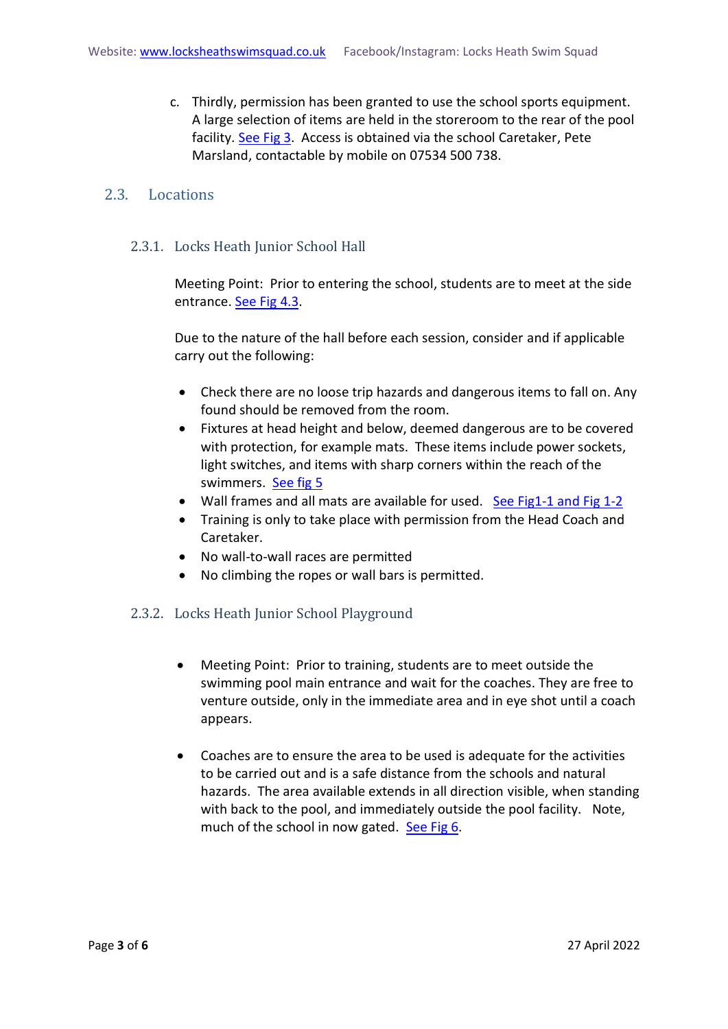c. Thirdly, permission has been granted to use the school sports equipment. A large selection of items are held in the storeroom to the rear of the pool facility. [See Fig 3.](#page-4-1) Access is obtained via the school Caretaker, Pete Marsland, contactable by mobile on 07534 500 738.

#### <span id="page-2-0"></span>2.3. Locations

#### <span id="page-2-1"></span>2.3.1. Locks Heath Junior School Hall

Meeting Point: Prior to entering the school, students are to meet at the side entrance. [See Fig 4.3.](#page-4-1)

Due to the nature of the hall before each session, consider and if applicable carry out the following:

- Check there are no loose trip hazards and dangerous items to fall on. Any found should be removed from the room.
- Fixtures at head height and below, deemed dangerous are to be covered with protection, for example mats. These items include power sockets, light switches, and items with sharp corners within the reach of the swimmers. [See fig 5](#page-4-1)
- Wall frames and all mats are available for used. [See Fig1-1 and Fig 1-2](#page-4-1)
- Training is only to take place with permission from the Head Coach and Caretaker.
- No wall-to-wall races are permitted
- No climbing the ropes or wall bars is permitted.

#### <span id="page-2-2"></span>2.3.2. Locks Heath Junior School Playground

- Meeting Point: Prior to training, students are to meet outside the swimming pool main entrance and wait for the coaches. They are free to venture outside, only in the immediate area and in eye shot until a coach appears.
- Coaches are to ensure the area to be used is adequate for the activities to be carried out and is a safe distance from the schools and natural hazards. The area available extends in all direction visible, when standing with back to the pool, and immediately outside the pool facility. Note, much of the school in now gated. [See Fig 6.](#page-4-1)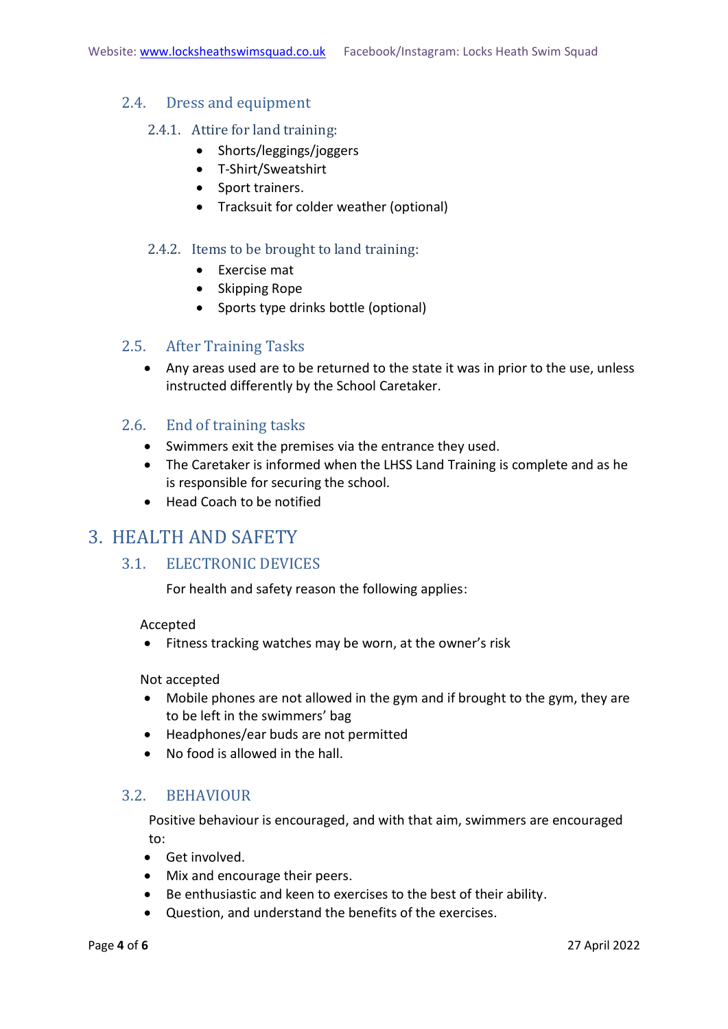#### <span id="page-3-1"></span><span id="page-3-0"></span>2.4. Dress and equipment

#### 2.4.1. Attire for land training:

- Shorts/leggings/joggers
- T-Shirt/Sweatshirt
- Sport trainers.
- Tracksuit for colder weather (optional)

#### <span id="page-3-2"></span>2.4.2. Items to be brought to land training:

- Exercise mat
- Skipping Rope
- Sports type drinks bottle (optional)

#### <span id="page-3-3"></span>2.5. After Training Tasks

• Any areas used are to be returned to the state it was in prior to the use, unless instructed differently by the School Caretaker.

#### <span id="page-3-4"></span>2.6. End of training tasks

- Swimmers exit the premises via the entrance they used.
- The Caretaker is informed when the LHSS Land Training is complete and as he is responsible for securing the school.
- Head Coach to be notified

### <span id="page-3-6"></span><span id="page-3-5"></span>3. HEALTH AND SAFETY

#### 3.1. ELECTRONIC DEVICES

For health and safety reason the following applies:

#### Accepted

• Fitness tracking watches may be worn, at the owner's risk

Not accepted

- Mobile phones are not allowed in the gym and if brought to the gym, they are to be left in the swimmers' bag
- Headphones/ear buds are not permitted
- No food is allowed in the hall.

#### <span id="page-3-7"></span>3.2. BEHAVIOUR

Positive behaviour is encouraged, and with that aim, swimmers are encouraged to:

- Get involved.
- Mix and encourage their peers.
- Be enthusiastic and keen to exercises to the best of their ability.
- Question, and understand the benefits of the exercises.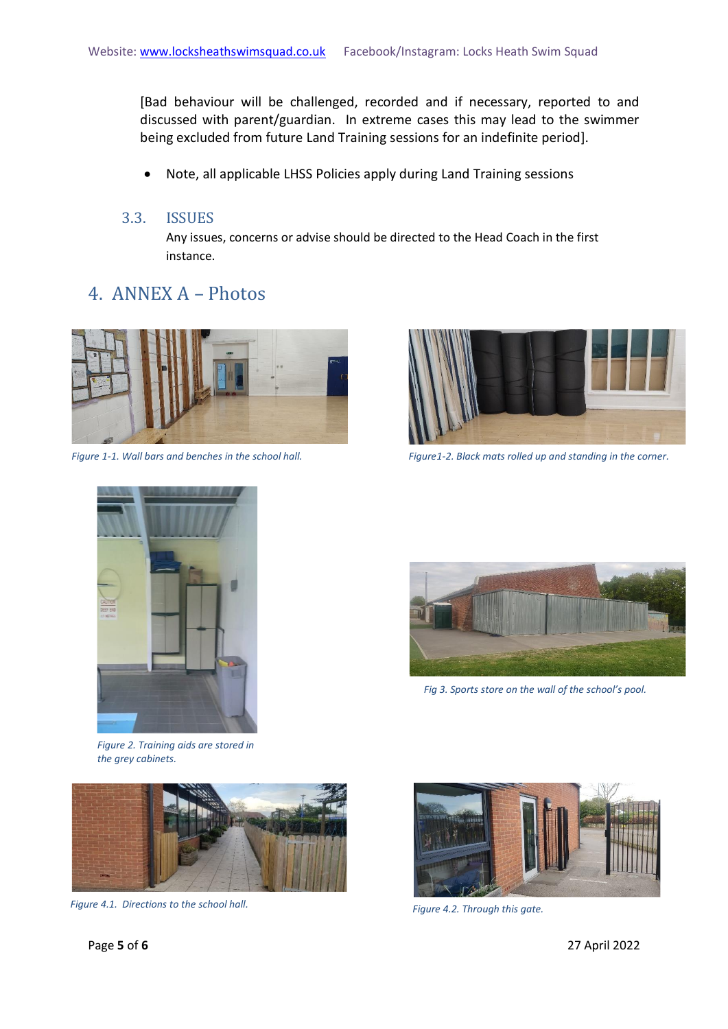[Bad behaviour will be challenged, recorded and if necessary, reported to and discussed with parent/guardian. In extreme cases this may lead to the swimmer being excluded from future Land Training sessions for an indefinite period].

• Note, all applicable LHSS Policies apply during Land Training sessions

#### <span id="page-4-0"></span>3.3. ISSUES

Any issues, concerns or advise should be directed to the Head Coach in the first instance.

## <span id="page-4-1"></span>4. ANNEX A – Photos





*Figure 1-1. Wall bars and benches in the school hall. Figure1-2. Black mats rolled up and standing in the corner.*



*Figure 2. Training aids are stored in the grey cabinets.*



*Figure 4.1. Directions to the school hall. Figure 4.2. Through this gate.*



*Fig 3. Sports store on the wall of the school's pool.*